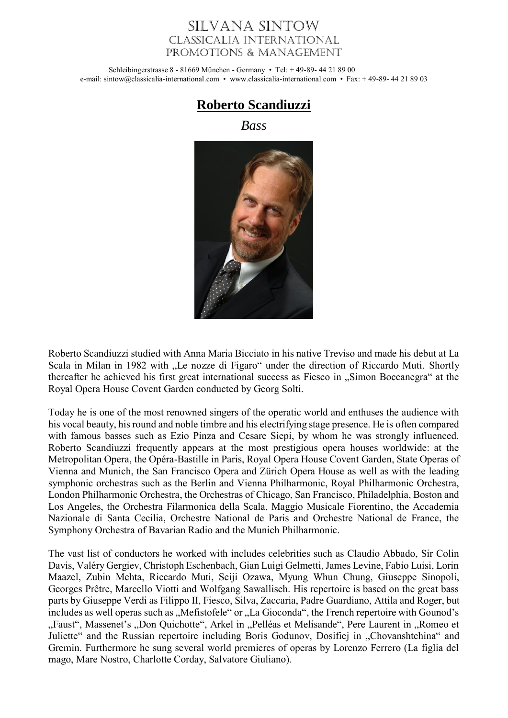## Silvana Sintow Classicalia International Promotions & Management

Schleibingerstrasse 8 - 81669 München - Germany • Tel: + 49-89- 44 21 89 00 e-mail: sintow@classicalia-international.com • www.classicalia-international.com • Fax: + 49-89- 44 21 89 03



*Bass*



Roberto Scandiuzzi studied with Anna Maria Bicciato in his native Treviso and made his debut at La Scala in Milan in 1982 with "Le nozze di Figaro" under the direction of Riccardo Muti. Shortly thereafter he achieved his first great international success as Fiesco in "Simon Boccanegra" at the Royal Opera House Covent Garden conducted by Georg Solti.

Today he is one of the most renowned singers of the operatic world and enthuses the audience with his vocal beauty, his round and noble timbre and his electrifying stage presence. He is often compared with famous basses such as Ezio Pinza and Cesare Siepi, by whom he was strongly influenced. Roberto Scandiuzzi frequently appears at the most prestigious opera houses worldwide: at the Metropolitan Opera, the Opéra-Bastille in Paris, Royal Opera House Covent Garden, State Operas of Vienna and Munich, the San Francisco Opera and Zürich Opera House as well as with the leading symphonic orchestras such as the Berlin and Vienna Philharmonic, Royal Philharmonic Orchestra, London Philharmonic Orchestra, the Orchestras of Chicago, San Francisco, Philadelphia, Boston and Los Angeles, the Orchestra Filarmonica della Scala, Maggio Musicale Fiorentino, the Accademia Nazionale di Santa Cecilia, Orchestre National de Paris and Orchestre National de France, the Symphony Orchestra of Bavarian Radio and the Munich Philharmonic.

The vast list of conductors he worked with includes celebrities such as Claudio Abbado, Sir Colin Davis, Valéry Gergiev, Christoph Eschenbach, Gian Luigi Gelmetti, James Levine, Fabio Luisi, Lorin Maazel, Zubin Mehta, Riccardo Muti, Seiji Ozawa, Myung Whun Chung, Giuseppe Sinopoli, Georges Prêtre, Marcello Viotti and Wolfgang Sawallisch. His repertoire is based on the great bass parts by Giuseppe Verdi as Filippo II, Fiesco, Silva, Zaccaria, Padre Guardiano, Attila and Roger, but includes as well operas such as "Mefistofele" or "La Gioconda", the French repertoire with Gounod's "Faust", Massenet's "Don Quichotte", Arkel in "Pelléas et Melisande", Pere Laurent in "Romeo et Juliette" and the Russian repertoire including Boris Godunov, Dosifiej in "Chovanshtchina" and Gremin. Furthermore he sung several world premieres of operas by Lorenzo Ferrero (La figlia del mago, Mare Nostro, Charlotte Corday, Salvatore Giuliano).